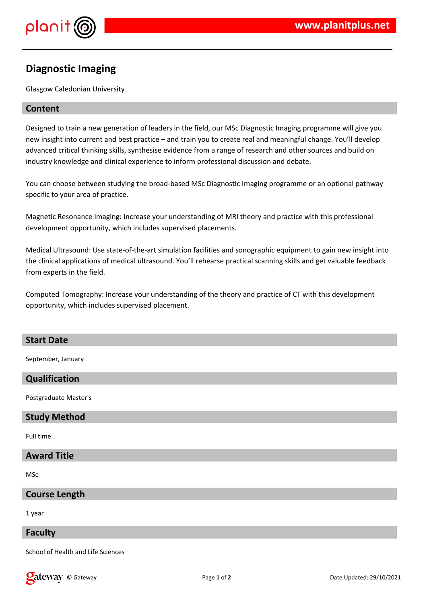

# **Diagnostic Imaging**

Glasgow Caledonian University

## **Content**

Designed to train a new generation of leaders in the field, our MSc Diagnostic Imaging programme will give you new insight into current and best practice – and train you to create real and meaningful change. You'll develop advanced critical thinking skills, synthesise evidence from a range of research and other sources and build on industry knowledge and clinical experience to inform professional discussion and debate.

You can choose between studying the broad-based MSc Diagnostic Imaging programme or an optional pathway specific to your area of practice.

Magnetic Resonance Imaging: Increase your understanding of MRI theory and practice with this professional development opportunity, which includes supervised placements.

Medical Ultrasound: Use state-of-the-art simulation facilities and sonographic equipment to gain new insight into the clinical applications of medical ultrasound. You'll rehearse practical scanning skills and get valuable feedback from experts in the field.

Computed Tomography: Increase your understanding of the theory and practice of CT with this development opportunity, which includes supervised placement.

## **Start Date**

September, January

## **Qualification**

Postgraduate Master's

#### **Study Method**

Full time

#### **Award Title**

MSc

## **Course Length**

1 year

## **Faculty**

School of Health and Life Sciences

**Call EXECURIC CONTROLLER SETS OF A REPORT OF A REAL PAGE 1 of 2 Date Updated: 29/10/2021**